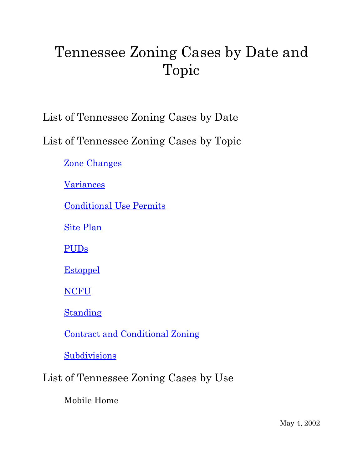# Tennessee Zoning Cases by Date and Topic

List of Tennessee Zoning Cases by Date

List of Tennessee Zoning Cases by Topic

Zone Changes

**Variances** 

Conditional Use Permits

Site Plan

PUDs

**Estoppel** 

NCFU

Standing

Contract and Conditional Zoning

Subdivisions

# List of Tennessee Zoning Cases by Use

Mobile Home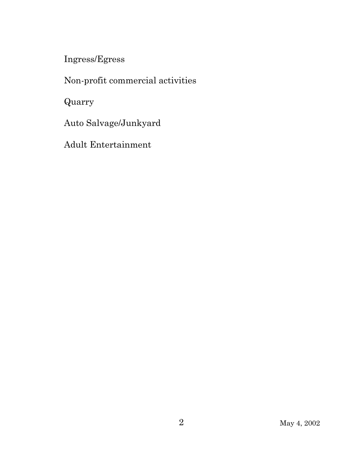Ingress/Egress

Non-profit commercial activities

Quarry

Auto Salvage/Junkyard

Adult Entertainment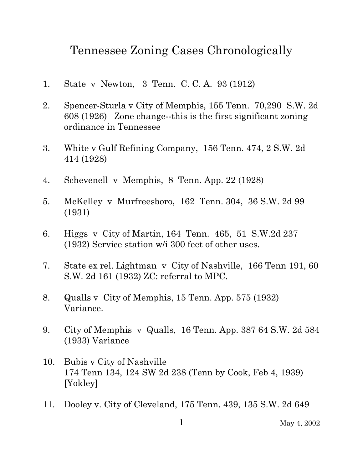# Tennessee Zoning Cases Chronologically

- 1. State v Newton, 3 Tenn. C. C. A. 93 (1912)
- 2. Spencer-Sturla v City of Memphis, 155 Tenn. 70,290 S.W. 2d 608 (1926) Zone change--this is the first significant zoning ordinance in Tennessee
- 3. White v Gulf Refining Company, 156 Tenn. 474, 2 S.W. 2d 414 (1928)
- 4. Schevenell v Memphis, 8 Tenn. App. 22 (1928)
- 5. McKelley v Murfreesboro, 162 Tenn. 304, 36 S.W. 2d 99 (1931)
- 6. Higgs v City of Martin, 164 Tenn. 465, 51 S.W.2d 237 (1932) Service station w/i 300 feet of other uses.
- 7. State ex rel. Lightman v City of Nashville, 166 Tenn 191, 60 S.W. 2d 161 (1932) ZC: referral to MPC.
- 8. Qualls v City of Memphis, 15 Tenn. App. 575 (1932) Variance.
- 9. City of Memphis v Qualls, 16 Tenn. App. 387 64 S.W. 2d 584 (1933) Variance
- 10. Bubis v City of Nashville 174 Tenn 134, 124 SW 2d 238 (Tenn by Cook, Feb 4, 1939) [Yokley]
- 11. Dooley v. City of Cleveland, 175 Tenn. 439, 135 S.W. 2d 649

1 May 4, 2002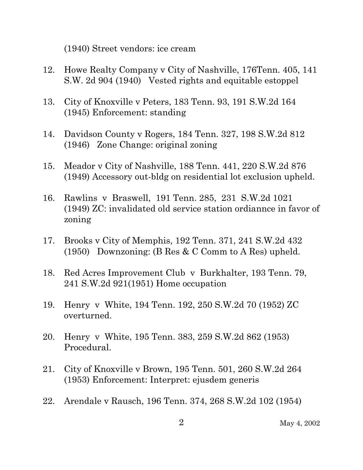(1940) Street vendors: ice cream

- 12. Howe Realty Company v City of Nashville, 176Tenn. 405, 141 S.W. 2d 904 (1940) Vested rights and equitable estoppel
- 13. City of Knoxville v Peters, 183 Tenn. 93, 191 S.W.2d 164 (1945) Enforcement: standing
- 14. Davidson County v Rogers, 184 Tenn. 327, 198 S.W.2d 812 (1946) Zone Change: original zoning
- 15. Meador v City of Nashville, 188 Tenn. 441, 220 S.W.2d 876 (1949) Accessory out-bldg on residential lot exclusion upheld.
- 16. Rawlins v Braswell, 191 Tenn. 285, 231 S.W.2d 1021 (1949) ZC: invalidated old service station ordiannce in favor of zoning
- 17. Brooks v City of Memphis, 192 Tenn. 371, 241 S.W.2d 432 (1950) Downzoning: (B Res & C Comm to A Res) upheld.
- 18. Red Acres Improvement Club v Burkhalter, 193 Tenn. 79, 241 S.W.2d 921(1951) Home occupation
- 19. Henry v White, 194 Tenn. 192, 250 S.W.2d 70 (1952) ZC overturned.
- 20. Henry v White, 195 Tenn. 383, 259 S.W.2d 862 (1953) Procedural.
- 21. City of Knoxville v Brown, 195 Tenn. 501, 260 S.W.2d 264 (1953) Enforcement: Interpret: ejusdem generis
- 22. Arendale v Rausch, 196 Tenn. 374, 268 S.W.2d 102 (1954)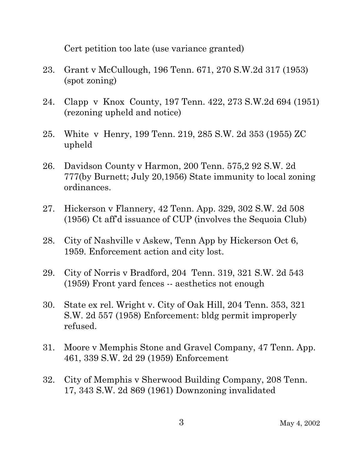Cert petition too late (use variance granted)

- 23. Grant v McCullough, 196 Tenn. 671, 270 S.W.2d 317 (1953) (spot zoning)
- 24. Clapp v Knox County, 197 Tenn. 422, 273 S.W.2d 694 (1951) (rezoning upheld and notice)
- 25. White v Henry, 199 Tenn. 219, 285 S.W. 2d 353 (1955) ZC upheld
- 26. Davidson County v Harmon, 200 Tenn. 575,2 92 S.W. 2d 777(by Burnett; July 20,1956) State immunity to local zoning ordinances.
- 27. Hickerson v Flannery, 42 Tenn. App. 329, 302 S.W. 2d 508 (1956) Ct aff'd issuance of CUP (involves the Sequoia Club)
- 28. City of Nashville v Askew, Tenn App by Hickerson Oct 6, 1959. Enforcement action and city lost.
- 29. City of Norris v Bradford, 204 Tenn. 319, 321 S.W. 2d 543 (1959) Front yard fences -- aesthetics not enough
- 30. State ex rel. Wright v. City of Oak Hill, 204 Tenn. 353, 321 S.W. 2d 557 (1958) Enforcement: bldg permit improperly refused.
- 31. Moore v Memphis Stone and Gravel Company, 47 Tenn. App. 461, 339 S.W. 2d 29 (1959) Enforcement
- 32. City of Memphis v Sherwood Building Company, 208 Tenn. 17, 343 S.W. 2d 869 (1961) Downzoning invalidated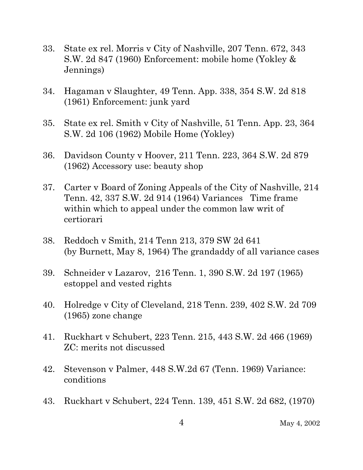- 33. State ex rel. Morris v City of Nashville, 207 Tenn. 672, 343 S.W. 2d 847 (1960) Enforcement: mobile home (Yokley & Jennings)
- 34. Hagaman v Slaughter, 49 Tenn. App. 338, 354 S.W. 2d 818 (1961) Enforcement: junk yard
- 35. State ex rel. Smith v City of Nashville, 51 Tenn. App. 23, 364 S.W. 2d 106 (1962) Mobile Home (Yokley)
- 36. Davidson County v Hoover, 211 Tenn. 223, 364 S.W. 2d 879 (1962) Accessory use: beauty shop
- 37. Carter v Board of Zoning Appeals of the City of Nashville, 214 Tenn. 42, 337 S.W. 2d 914 (1964) Variances Time frame within which to appeal under the common law writ of certiorari
- 38. Reddoch v Smith, 214 Tenn 213, 379 SW 2d 641 (by Burnett, May 8, 1964) The grandaddy of all variance cases
- 39. Schneider v Lazarov, 216 Tenn. 1, 390 S.W. 2d 197 (1965) estoppel and vested rights
- 40. Holredge v City of Cleveland, 218 Tenn. 239, 402 S.W. 2d 709 (1965) zone change
- 41. Ruckhart v Schubert, 223 Tenn. 215, 443 S.W. 2d 466 (1969) ZC: merits not discussed
- 42. Stevenson v Palmer, 448 S.W.2d 67 (Tenn. 1969) Variance: conditions
- 43. Ruckhart v Schubert, 224 Tenn. 139, 451 S.W. 2d 682, (1970)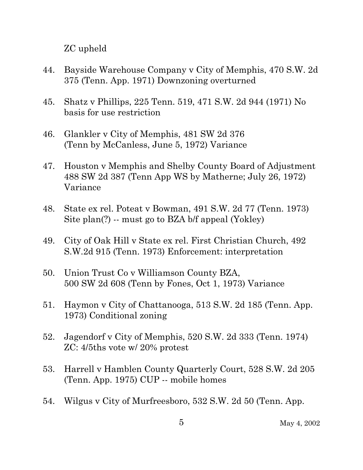ZC upheld

- 44. Bayside Warehouse Company v City of Memphis, 470 S.W. 2d 375 (Tenn. App. 1971) Downzoning overturned
- 45. Shatz v Phillips, 225 Tenn. 519, 471 S.W. 2d 944 (1971) No basis for use restriction
- 46. Glankler v City of Memphis, 481 SW 2d 376 (Tenn by McCanless, June 5, 1972) Variance
- 47. Houston v Memphis and Shelby County Board of Adjustment 488 SW 2d 387 (Tenn App WS by Matherne; July 26, 1972) Variance
- 48. State ex rel. Poteat v Bowman, 491 S.W. 2d 77 (Tenn. 1973) Site plan(?) -- must go to BZA b/f appeal (Yokley)
- 49. City of Oak Hill v State ex rel. First Christian Church, 492 S.W.2d 915 (Tenn. 1973) Enforcement: interpretation
- 50. Union Trust Co v Williamson County BZA, 500 SW 2d 608 (Tenn by Fones, Oct 1, 1973) Variance
- 51. Haymon v City of Chattanooga, 513 S.W. 2d 185 (Tenn. App. 1973) Conditional zoning
- 52. Jagendorf v City of Memphis, 520 S.W. 2d 333 (Tenn. 1974) ZC: 4/5ths vote w/ 20% protest
- 53. Harrell v Hamblen County Quarterly Court, 528 S.W. 2d 205 (Tenn. App. 1975) CUP -- mobile homes
- 54. Wilgus v City of Murfreesboro, 532 S.W. 2d 50 (Tenn. App.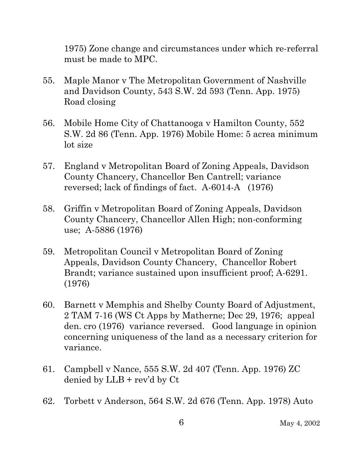1975) Zone change and circumstances under which re-referral must be made to MPC.

- 55. Maple Manor v The Metropolitan Government of Nashville and Davidson County, 543 S.W. 2d 593 (Tenn. App. 1975) Road closing
- 56. Mobile Home City of Chattanooga v Hamilton County, 552 S.W. 2d 86 (Tenn. App. 1976) Mobile Home: 5 acrea minimum lot size
- 57. England v Metropolitan Board of Zoning Appeals, Davidson County Chancery, Chancellor Ben Cantrell; variance reversed; lack of findings of fact. A-6014-A (1976)
- 58. Griffin v Metropolitan Board of Zoning Appeals, Davidson County Chancery, Chancellor Allen High; non-conforming use; A-5886 (1976)
- 59. Metropolitan Council v Metropolitan Board of Zoning Appeals, Davidson County Chancery, Chancellor Robert Brandt; variance sustained upon insufficient proof; A-6291. (1976)
- 60. Barnett v Memphis and Shelby County Board of Adjustment, 2 TAM 7-16 (WS Ct Apps by Matherne; Dec 29, 1976; appeal den. cro (1976) variance reversed. Good language in opinion concerning uniqueness of the land as a necessary criterion for variance.
- 61. Campbell v Nance, 555 S.W. 2d 407 (Tenn. App. 1976) ZC denied by LLB + rev'd by Ct
- 62. Torbett v Anderson, 564 S.W. 2d 676 (Tenn. App. 1978) Auto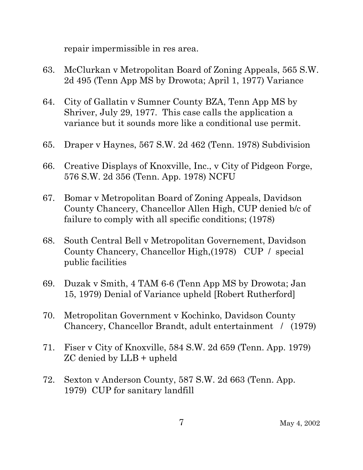repair impermissible in res area.

- 63. McClurkan v Metropolitan Board of Zoning Appeals, 565 S.W. 2d 495 (Tenn App MS by Drowota; April 1, 1977) Variance
- 64. City of Gallatin v Sumner County BZA, Tenn App MS by Shriver, July 29, 1977. This case calls the application a variance but it sounds more like a conditional use permit.
- 65. Draper v Haynes, 567 S.W. 2d 462 (Tenn. 1978) Subdivision
- 66. Creative Displays of Knoxville, Inc., v City of Pidgeon Forge, 576 S.W. 2d 356 (Tenn. App. 1978) NCFU
- 67. Bomar v Metropolitan Board of Zoning Appeals, Davidson County Chancery, Chancellor Allen High, CUP denied b/c of failure to comply with all specific conditions; (1978)
- 68. South Central Bell v Metropolitan Governement, Davidson County Chancery, Chancellor High,(1978) CUP / special public facilities
- 69. Duzak v Smith, 4 TAM 6-6 (Tenn App MS by Drowota; Jan 15, 1979) Denial of Variance upheld [Robert Rutherford]
- 70. Metropolitan Government v Kochinko, Davidson County Chancery, Chancellor Brandt, adult entertainment / (1979)
- 71. Fiser v City of Knoxville, 584 S.W. 2d 659 (Tenn. App. 1979) ZC denied by LLB + upheld
- 72. Sexton v Anderson County, 587 S.W. 2d 663 (Tenn. App. 1979) CUP for sanitary landfill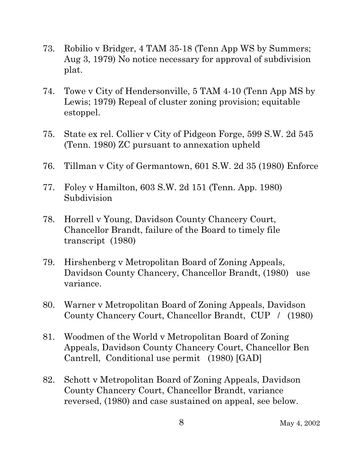- 73. Robilio v Bridger, 4 TAM 35-18 (Tenn App WS by Summers; Aug 3, 1979) No notice necessary for approval of subdivision plat.
- 74. Towe v City of Hendersonville, 5 TAM 4-10 (Tenn App MS by Lewis; 1979) Repeal of cluster zoning provision; equitable estoppel.
- 75. State ex rel. Collier v City of Pidgeon Forge, 599 S.W. 2d 545 (Tenn. 1980) ZC pursuant to annexation upheld
- 76. Tillman v City of Germantown, 601 S.W. 2d 35 (1980) Enforce
- 77. Foley v Hamilton, 603 S.W. 2d 151 (Tenn. App. 1980) Subdivision
- 78. Horrell v Young, Davidson County Chancery Court, Chancellor Brandt, failure of the Board to timely file transcript (1980)
- 79. Hirshenberg v Metropolitan Board of Zoning Appeals, Davidson County Chancery, Chancellor Brandt, (1980) use variance.
- 80. Warner v Metropolitan Board of Zoning Appeals, Davidson County Chancery Court, Chancellor Brandt, CUP / (1980)
- 81. Woodmen of the World v Metropolitan Board of Zoning Appeals, Davidson County Chancery Court, Chancellor Ben Cantrell, Conditional use permit (1980) [GAD]
- 82. Schott v Metropolitan Board of Zoning Appeals, Davidson County Chancery Court, Chancellor Brandt, variance reversed, (1980) and case sustained on appeal, see below.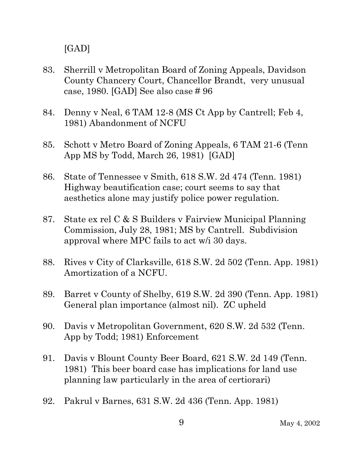[GAD]

- 83. Sherrill v Metropolitan Board of Zoning Appeals, Davidson County Chancery Court, Chancellor Brandt, very unusual case, 1980. [GAD] See also case # 96
- 84. Denny v Neal, 6 TAM 12-8 (MS Ct App by Cantrell; Feb 4, 1981) Abandonment of NCFU
- 85. Schott v Metro Board of Zoning Appeals, 6 TAM 21-6 (Tenn App MS by Todd, March 26, 1981) [GAD]
- 86. State of Tennessee v Smith, 618 S.W. 2d 474 (Tenn. 1981) Highway beautification case; court seems to say that aesthetics alone may justify police power regulation.
- 87. State ex rel C & S Builders v Fairview Municipal Planning Commission, July 28, 1981; MS by Cantrell. Subdivision approval where MPC fails to act w/i 30 days.
- 88. Rives v City of Clarksville, 618 S.W. 2d 502 (Tenn. App. 1981) Amortization of a NCFU.
- 89. Barret v County of Shelby, 619 S.W. 2d 390 (Tenn. App. 1981) General plan importance (almost nil). ZC upheld
- 90. Davis v Metropolitan Government, 620 S.W. 2d 532 (Tenn. App by Todd; 1981) Enforcement
- 91. Davis v Blount County Beer Board, 621 S.W. 2d 149 (Tenn. 1981) This beer board case has implications for land use planning law particularly in the area of certiorari)
- 92. Pakrul v Barnes, 631 S.W. 2d 436 (Tenn. App. 1981)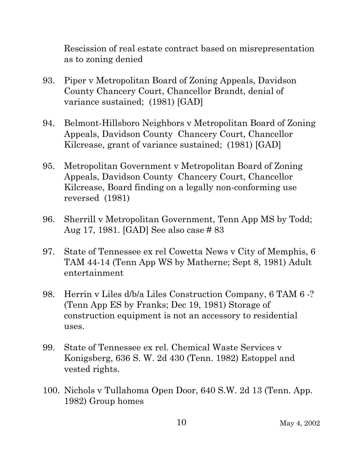Rescission of real estate contract based on misrepresentation as to zoning denied

- 93. Piper v Metropolitan Board of Zoning Appeals, Davidson County Chancery Court, Chancellor Brandt, denial of variance sustained; (1981) [GAD]
- 94. Belmont-Hillsboro Neighbors v Metropolitan Board of Zoning Appeals, Davidson County Chancery Court, Chancellor Kilcrease, grant of variance sustained; (1981) [GAD]
- 95. Metropolitan Government v Metropolitan Board of Zoning Appeals, Davidson County Chancery Court, Chancellor Kilcrease, Board finding on a legally non-conforming use reversed (1981)
- 96. Sherrill v Metropolitan Government, Tenn App MS by Todd; Aug 17, 1981. [GAD] See also case # 83
- 97. State of Tennessee ex rel Cowetta News v City of Memphis, 6 TAM 44-14 (Tenn App WS by Matherne; Sept 8, 1981) Adult entertainment
- 98. Herrin v Liles d/b/a Liles Construction Company, 6 TAM 6 -? (Tenn App ES by Franks; Dec 19, 1981) Storage of construction equipment is not an accessory to residential uses.
- 99. State of Tennessee ex rel. Chemical Waste Services v Konigsberg, 636 S. W. 2d 430 (Tenn. 1982) Estoppel and vested rights.
- 100. Nichols v Tullahoma Open Door, 640 S.W. 2d 13 (Tenn. App. 1982) Group homes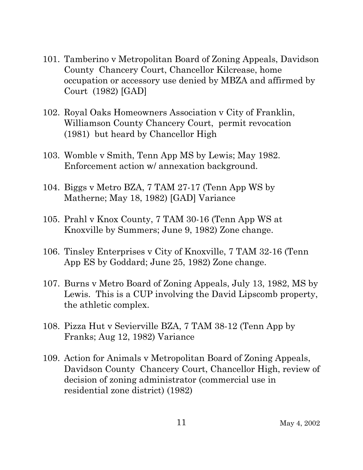- 101. Tamberino v Metropolitan Board of Zoning Appeals, Davidson County Chancery Court, Chancellor Kilcrease, home occupation or accessory use denied by MBZA and affirmed by Court (1982) [GAD]
- 102. Royal Oaks Homeowners Association v City of Franklin, Williamson County Chancery Court, permit revocation (1981) but heard by Chancellor High
- 103. Womble v Smith, Tenn App MS by Lewis; May 1982. Enforcement action w/ annexation background.
- 104. Biggs v Metro BZA, 7 TAM 27-17 (Tenn App WS by Matherne; May 18, 1982) [GAD] Variance
- 105. Prahl v Knox County, 7 TAM 30-16 (Tenn App WS at Knoxville by Summers; June 9, 1982) Zone change.
- 106. Tinsley Enterprises v City of Knoxville, 7 TAM 32-16 (Tenn App ES by Goddard; June 25, 1982) Zone change.
- 107. Burns v Metro Board of Zoning Appeals, July 13, 1982, MS by Lewis. This is a CUP involving the David Lipscomb property, the athletic complex.
- 108. Pizza Hut v Sevierville BZA, 7 TAM 38-12 (Tenn App by Franks; Aug 12, 1982) Variance
- 109. Action for Animals v Metropolitan Board of Zoning Appeals, Davidson County Chancery Court, Chancellor High, review of decision of zoning administrator (commercial use in residential zone district) (1982)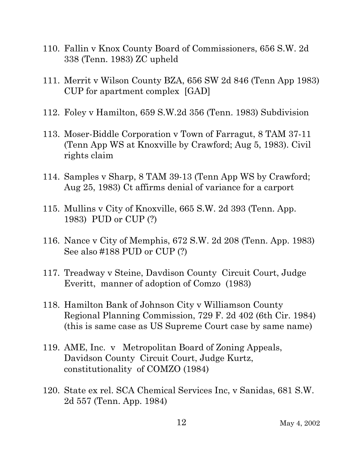- 110. Fallin v Knox County Board of Commissioners, 656 S.W. 2d 338 (Tenn. 1983) ZC upheld
- 111. Merrit v Wilson County BZA, 656 SW 2d 846 (Tenn App 1983) CUP for apartment complex [GAD]
- 112. Foley v Hamilton, 659 S.W.2d 356 (Tenn. 1983) Subdivision
- 113. Moser-Biddle Corporation v Town of Farragut, 8 TAM 37-11 (Tenn App WS at Knoxville by Crawford; Aug 5, 1983). Civil rights claim
- 114. Samples v Sharp, 8 TAM 39-13 (Tenn App WS by Crawford; Aug 25, 1983) Ct affirms denial of variance for a carport
- 115. Mullins v City of Knoxville, 665 S.W. 2d 393 (Tenn. App. 1983) PUD or CUP (?)
- 116. Nance v City of Memphis, 672 S.W. 2d 208 (Tenn. App. 1983) See also #188 PUD or CUP (?)
- 117. Treadway v Steine, Davdison County Circuit Court, Judge Everitt, manner of adoption of Comzo (1983)
- 118. Hamilton Bank of Johnson City v Williamson County Regional Planning Commission, 729 F. 2d 402 (6th Cir. 1984) (this is same case as US Supreme Court case by same name)
- 119. AME, Inc. v Metropolitan Board of Zoning Appeals, Davidson County Circuit Court, Judge Kurtz, constitutionality of COMZO (1984)
- 120. State ex rel. SCA Chemical Services Inc, v Sanidas, 681 S.W. 2d 557 (Tenn. App. 1984)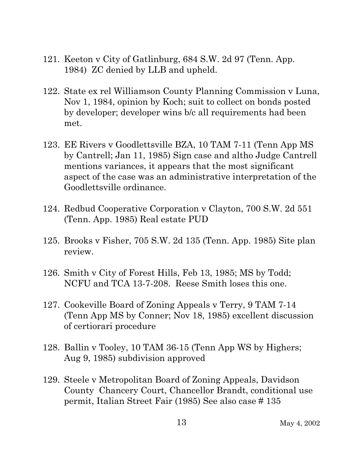- 121. Keeton v City of Gatlinburg, 684 S.W. 2d 97 (Tenn. App. 1984) ZC denied by LLB and upheld.
- 122. State ex rel Williamson County Planning Commission v Luna, Nov 1, 1984, opinion by Koch; suit to collect on bonds posted by developer; developer wins b/c all requirements had been met.
- 123. EE Rivers v Goodlettsville BZA, 10 TAM 7-11 (Tenn App MS by Cantrell; Jan 11, 1985) Sign case and altho Judge Cantrell mentions variances, it appears that the most significant aspect of the case was an administrative interpretation of the Goodlettsville ordinance.
- 124. Redbud Cooperative Corporation v Clayton, 700 S.W. 2d 551 (Tenn. App. 1985) Real estate PUD
- 125. Brooks v Fisher, 705 S.W. 2d 135 (Tenn. App. 1985) Site plan review.
- 126. Smith v City of Forest Hills, Feb 13, 1985; MS by Todd; NCFU and TCA 13-7-208. Reese Smith loses this one.
- 127. Cookeville Board of Zoning Appeals v Terry, 9 TAM 7-14 (Tenn App MS by Conner; Nov 18, 1985) excellent discussion of certiorari procedure
- 128. Ballin v Tooley, 10 TAM 36-15 (Tenn App WS by Highers; Aug 9, 1985) subdivision approved
- 129. Steele v Metropolitan Board of Zoning Appeals, Davidson County Chancery Court, Chancellor Brandt, conditional use permit, Italian Street Fair (1985) See also case # 135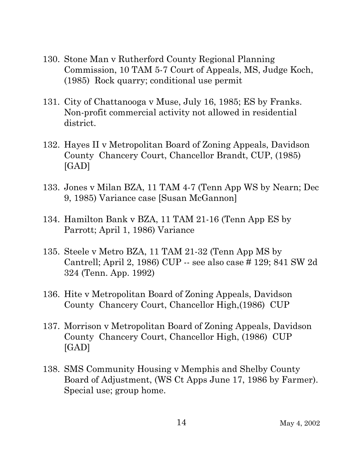- 130. Stone Man v Rutherford County Regional Planning Commission, 10 TAM 5-7 Court of Appeals, MS, Judge Koch, (1985) Rock quarry; conditional use permit
- 131. City of Chattanooga v Muse, July 16, 1985; ES by Franks. Non-profit commercial activity not allowed in residential district.
- 132. Hayes II v Metropolitan Board of Zoning Appeals, Davidson County Chancery Court, Chancellor Brandt, CUP, (1985) [GAD]
- 133. Jones v Milan BZA, 11 TAM 4-7 (Tenn App WS by Nearn; Dec 9, 1985) Variance case [Susan McGannon]
- 134. Hamilton Bank v BZA, 11 TAM 21-16 (Tenn App ES by Parrott; April 1, 1986) Variance
- 135. Steele v Metro BZA, 11 TAM 21-32 (Tenn App MS by Cantrell; April 2, 1986) CUP -- see also case # 129; 841 SW 2d 324 (Tenn. App. 1992)
- 136. Hite v Metropolitan Board of Zoning Appeals, Davidson County Chancery Court, Chancellor High,(1986) CUP
- 137. Morrison v Metropolitan Board of Zoning Appeals, Davidson County Chancery Court, Chancellor High, (1986) CUP [GAD]
- 138. SMS Community Housing v Memphis and Shelby County Board of Adjustment, (WS Ct Apps June 17, 1986 by Farmer). Special use; group home.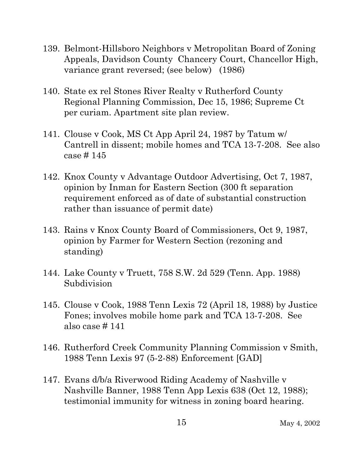- 139. Belmont-Hillsboro Neighbors v Metropolitan Board of Zoning Appeals, Davidson County Chancery Court, Chancellor High, variance grant reversed; (see below) (1986)
- 140. State ex rel Stones River Realty v Rutherford County Regional Planning Commission, Dec 15, 1986; Supreme Ct per curiam. Apartment site plan review.
- 141. Clouse v Cook, MS Ct App April 24, 1987 by Tatum w/ Cantrell in dissent; mobile homes and TCA 13-7-208. See also case # 145
- 142. Knox County v Advantage Outdoor Advertising, Oct 7, 1987, opinion by Inman for Eastern Section (300 ft separation requirement enforced as of date of substantial construction rather than issuance of permit date)
- 143. Rains v Knox County Board of Commissioners, Oct 9, 1987, opinion by Farmer for Western Section (rezoning and standing)
- 144. Lake County v Truett, 758 S.W. 2d 529 (Tenn. App. 1988) Subdivision
- 145. Clouse v Cook, 1988 Tenn Lexis 72 (April 18, 1988) by Justice Fones; involves mobile home park and TCA 13-7-208. See also case # 141
- 146. Rutherford Creek Community Planning Commission v Smith, 1988 Tenn Lexis 97 (5-2-88) Enforcement [GAD]
- 147. Evans d/b/a Riverwood Riding Academy of Nashville v Nashville Banner, 1988 Tenn App Lexis 638 (Oct 12, 1988); testimonial immunity for witness in zoning board hearing.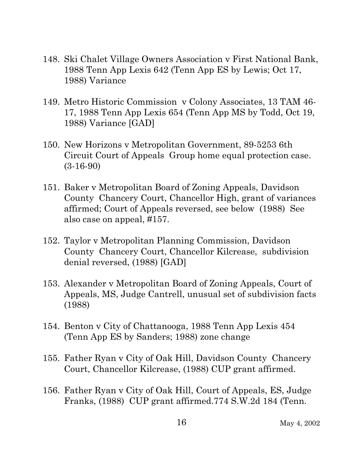- 148. Ski Chalet Village Owners Association v First National Bank, 1988 Tenn App Lexis 642 (Tenn App ES by Lewis; Oct 17, 1988) Variance
- 149. Metro Historic Commission v Colony Associates, 13 TAM 46- 17, 1988 Tenn App Lexis 654 (Tenn App MS by Todd, Oct 19, 1988) Variance [GAD]
- 150. New Horizons v Metropolitan Government, 89-5253 6th Circuit Court of Appeals Group home equal protection case. (3-16-90)
- 151. Baker v Metropolitan Board of Zoning Appeals, Davidson County Chancery Court, Chancellor High, grant of variances affirmed; Court of Appeals reversed, see below (1988) See also case on appeal, #157.
- 152. Taylor v Metropolitan Planning Commission, Davidson County Chancery Court, Chancellor Kilcrease, subdivision denial reversed, (1988) [GAD]
- 153. Alexander v Metropolitan Board of Zoning Appeals, Court of Appeals, MS, Judge Cantrell, unusual set of subdivision facts (1988)
- 154. Benton v City of Chattanooga, 1988 Tenn App Lexis 454 (Tenn App ES by Sanders; 1988) zone change
- 155. Father Ryan v City of Oak Hill, Davidson County Chancery Court, Chancellor Kilcrease, (1988) CUP grant affirmed.
- 156. Father Ryan v City of Oak Hill, Court of Appeals, ES, Judge Franks, (1988) CUP grant affirmed.774 S.W.2d 184 (Tenn.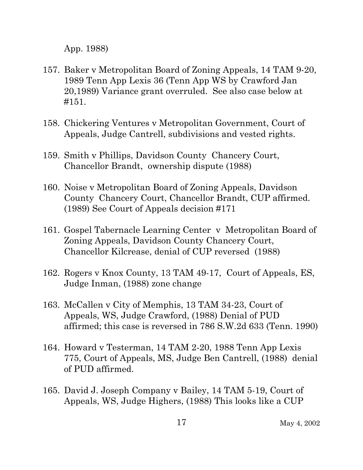App. 1988)

- 157. Baker v Metropolitan Board of Zoning Appeals, 14 TAM 9-20, 1989 Tenn App Lexis 36 (Tenn App WS by Crawford Jan 20,1989) Variance grant overruled. See also case below at #151.
- 158. Chickering Ventures v Metropolitan Government, Court of Appeals, Judge Cantrell, subdivisions and vested rights.
- 159. Smith v Phillips, Davidson County Chancery Court, Chancellor Brandt, ownership dispute (1988)
- 160. Noise v Metropolitan Board of Zoning Appeals, Davidson County Chancery Court, Chancellor Brandt, CUP affirmed. (1989) See Court of Appeals decision #171
- 161. Gospel Tabernacle Learning Center v Metropolitan Board of Zoning Appeals, Davidson County Chancery Court, Chancellor Kilcrease, denial of CUP reversed (1988)
- 162. Rogers v Knox County, 13 TAM 49-17, Court of Appeals, ES, Judge Inman, (1988) zone change
- 163. McCallen v City of Memphis, 13 TAM 34-23, Court of Appeals, WS, Judge Crawford, (1988) Denial of PUD affirmed; this case is reversed in 786 S.W.2d 633 (Tenn. 1990)
- 164. Howard v Testerman, 14 TAM 2-20, 1988 Tenn App Lexis 775, Court of Appeals, MS, Judge Ben Cantrell, (1988) denial of PUD affirmed.
- 165. David J. Joseph Company v Bailey, 14 TAM 5-19, Court of Appeals, WS, Judge Highers, (1988) This looks like a CUP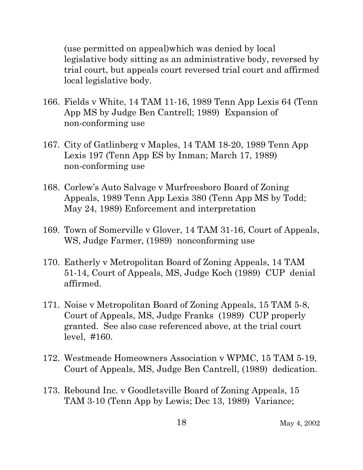(use permitted on appeal)which was denied by local legislative body sitting as an administrative body, reversed by trial court, but appeals court reversed trial court and affirmed local legislative body.

- 166. Fields v White, 14 TAM 11-16, 1989 Tenn App Lexis 64 (Tenn App MS by Judge Ben Cantrell; 1989) Expansion of non-conforming use
- 167. City of Gatlinberg v Maples, 14 TAM 18-20, 1989 Tenn App Lexis 197 (Tenn App ES by Inman; March 17, 1989) non-conforming use
- 168. Corlew's Auto Salvage v Murfreesboro Board of Zoning Appeals, 1989 Tenn App Lexis 380 (Tenn App MS by Todd; May 24, 1989) Enforcement and interpretation
- 169. Town of Somerville v Glover, 14 TAM 31-16, Court of Appeals, WS, Judge Farmer, (1989) nonconforming use
- 170. Eatherly v Metropolitan Board of Zoning Appeals, 14 TAM 51-14, Court of Appeals, MS, Judge Koch (1989) CUP denial affirmed.
- 171. Noise v Metropolitan Board of Zoning Appeals, 15 TAM 5-8, Court of Appeals, MS, Judge Franks (1989) CUP properly granted. See also case referenced above, at the trial court level, #160.
- 172. Westmeade Homeowners Association v WPMC, 15 TAM 5-19, Court of Appeals, MS, Judge Ben Cantrell, (1989) dedication.
- 173. Rebound Inc. v Goodletsville Board of Zoning Appeals, 15 TAM 3-10 (Tenn App by Lewis; Dec 13, 1989) Variance;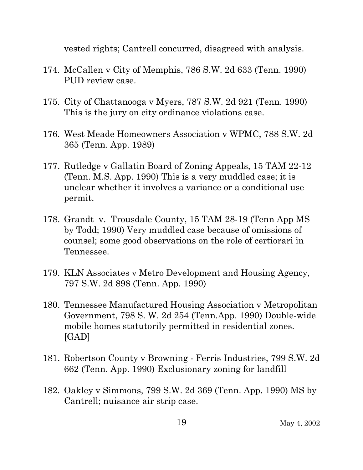vested rights; Cantrell concurred, disagreed with analysis.

- 174. McCallen v City of Memphis, 786 S.W. 2d 633 (Tenn. 1990) PUD review case.
- 175. City of Chattanooga v Myers, 787 S.W. 2d 921 (Tenn. 1990) This is the jury on city ordinance violations case.
- 176. West Meade Homeowners Association v WPMC, 788 S.W. 2d 365 (Tenn. App. 1989)
- 177. Rutledge v Gallatin Board of Zoning Appeals, 15 TAM 22-12 (Tenn. M.S. App. 1990) This is a very muddled case; it is unclear whether it involves a variance or a conditional use permit.
- 178. Grandt v. Trousdale County, 15 TAM 28-19 (Tenn App MS by Todd; 1990) Very muddled case because of omissions of counsel; some good observations on the role of certiorari in Tennessee.
- 179. KLN Associates v Metro Development and Housing Agency, 797 S.W. 2d 898 (Tenn. App. 1990)
- 180. Tennessee Manufactured Housing Association v Metropolitan Government, 798 S. W. 2d 254 (Tenn.App. 1990) Double-wide mobile homes statutorily permitted in residential zones. [GAD]
- 181. Robertson County v Browning Ferris Industries, 799 S.W. 2d 662 (Tenn. App. 1990) Exclusionary zoning for landfill
- 182. Oakley v Simmons, 799 S.W. 2d 369 (Tenn. App. 1990) MS by Cantrell; nuisance air strip case.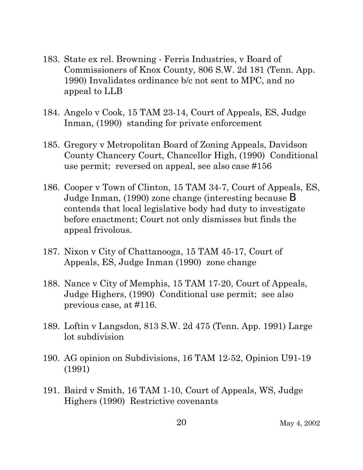- 183. State ex rel. Browning Ferris Industries, v Board of Commissioners of Knox County, 806 S.W. 2d 181 (Tenn. App. 1990) Invalidates ordinance b/c not sent to MPC, and no appeal to LLB
- 184. Angelo v Cook, 15 TAM 23-14, Court of Appeals, ES, Judge Inman, (1990) standing for private enforcement
- 185. Gregory v Metropolitan Board of Zoning Appeals, Davidson County Chancery Court, Chancellor High, (1990) Conditional use permit; reversed on appeal, see also case #156
- 186. Cooper v Town of Clinton, 15 TAM 34-7, Court of Appeals, ES, Judge Inman, (1990) zone change (interesting because B contends that local legislative body had duty to investigate before enactment; Court not only dismisses but finds the appeal frivolous.
- 187. Nixon v City of Chattanooga, 15 TAM 45-17, Court of Appeals, ES, Judge Inman (1990) zone change
- 188. Nance v City of Memphis, 15 TAM 17-20, Court of Appeals, Judge Highers, (1990) Conditional use permit; see also previous case, at #116.
- 189. Loftin v Langsdon, 813 S.W. 2d 475 (Tenn. App. 1991) Large lot subdivision
- 190. AG opinion on Subdivisions, 16 TAM 12-52, Opinion U91-19 (1991)
- 191. Baird v Smith, 16 TAM 1-10, Court of Appeals, WS, Judge Highers (1990) Restrictive covenants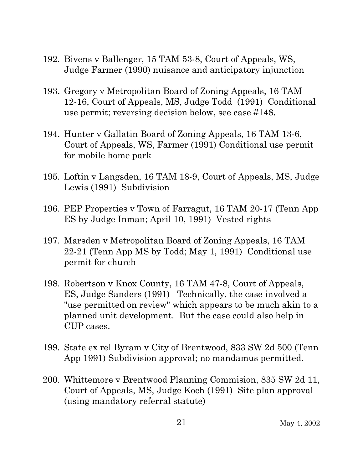- 192. Bivens v Ballenger, 15 TAM 53-8, Court of Appeals, WS, Judge Farmer (1990) nuisance and anticipatory injunction
- 193. Gregory v Metropolitan Board of Zoning Appeals, 16 TAM 12-16, Court of Appeals, MS, Judge Todd (1991) Conditional use permit; reversing decision below, see case #148.
- 194. Hunter v Gallatin Board of Zoning Appeals, 16 TAM 13-6, Court of Appeals, WS, Farmer (1991) Conditional use permit for mobile home park
- 195. Loftin v Langsden, 16 TAM 18-9, Court of Appeals, MS, Judge Lewis (1991) Subdivision
- 196. PEP Properties v Town of Farragut, 16 TAM 20-17 (Tenn App ES by Judge Inman; April 10, 1991) Vested rights
- 197. Marsden v Metropolitan Board of Zoning Appeals, 16 TAM 22-21 (Tenn App MS by Todd; May 1, 1991) Conditional use permit for church
- 198. Robertson v Knox County, 16 TAM 47-8, Court of Appeals, ES, Judge Sanders (1991) Technically, the case involved a "use permitted on review" which appears to be much akin to a planned unit development. But the case could also help in CUP cases.
- 199. State ex rel Byram v City of Brentwood, 833 SW 2d 500 (Tenn App 1991) Subdivision approval; no mandamus permitted.
- 200. Whittemore v Brentwood Planning Commision, 835 SW 2d 11, Court of Appeals, MS, Judge Koch (1991) Site plan approval (using mandatory referral statute)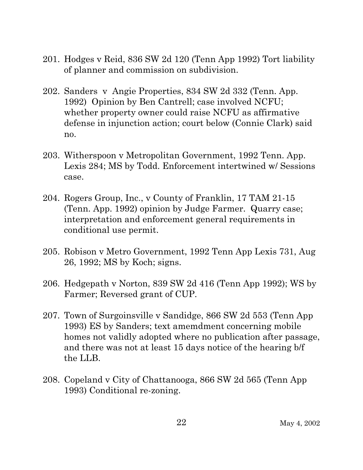- 201. Hodges v Reid, 836 SW 2d 120 (Tenn App 1992) Tort liability of planner and commission on subdivision.
- 202. Sanders v Angie Properties, 834 SW 2d 332 (Tenn. App. 1992) Opinion by Ben Cantrell; case involved NCFU; whether property owner could raise NCFU as affirmative defense in injunction action; court below (Connie Clark) said no.
- 203. Witherspoon v Metropolitan Government, 1992 Tenn. App. Lexis 284; MS by Todd. Enforcement intertwined w/ Sessions case.
- 204. Rogers Group, Inc., v County of Franklin, 17 TAM 21-15 (Tenn. App. 1992) opinion by Judge Farmer. Quarry case; interpretation and enforcement general requirements in conditional use permit.
- 205. Robison v Metro Government, 1992 Tenn App Lexis 731, Aug 26, 1992; MS by Koch; signs.
- 206. Hedgepath v Norton, 839 SW 2d 416 (Tenn App 1992); WS by Farmer; Reversed grant of CUP.
- 207. Town of Surgoinsville v Sandidge, 866 SW 2d 553 (Tenn App 1993) ES by Sanders; text amemdment concerning mobile homes not validly adopted where no publication after passage, and there was not at least 15 days notice of the hearing b/f the LLB.
- 208. Copeland v City of Chattanooga, 866 SW 2d 565 (Tenn App 1993) Conditional re-zoning.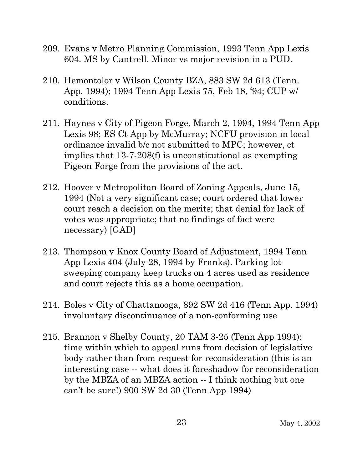- 209. Evans v Metro Planning Commission, 1993 Tenn App Lexis 604. MS by Cantrell. Minor vs major revision in a PUD.
- 210. Hemontolor v Wilson County BZA, 883 SW 2d 613 (Tenn. App. 1994); 1994 Tenn App Lexis 75, Feb 18, '94; CUP w/ conditions.
- 211. Haynes v City of Pigeon Forge, March 2, 1994, 1994 Tenn App Lexis 98; ES Ct App by McMurray; NCFU provision in local ordinance invalid b/c not submitted to MPC; however, ct implies that 13-7-208(f) is unconstitutional as exempting Pigeon Forge from the provisions of the act.
- 212. Hoover v Metropolitan Board of Zoning Appeals, June 15, 1994 (Not a very significant case; court ordered that lower court reach a decision on the merits; that denial for lack of votes was appropriate; that no findings of fact were necessary) [GAD]
- 213. Thompson v Knox County Board of Adjustment, 1994 Tenn App Lexis 404 (July 28, 1994 by Franks). Parking lot sweeping company keep trucks on 4 acres used as residence and court rejects this as a home occupation.
- 214. Boles v City of Chattanooga, 892 SW 2d 416 (Tenn App. 1994) involuntary discontinuance of a non-conforming use
- 215. Brannon v Shelby County, 20 TAM 3-25 (Tenn App 1994): time within which to appeal runs from decision of legislative body rather than from request for reconsideration (this is an interesting case -- what does it foreshadow for reconsideration by the MBZA of an MBZA action -- I think nothing but one can't be sure!) 900 SW 2d 30 (Tenn App 1994)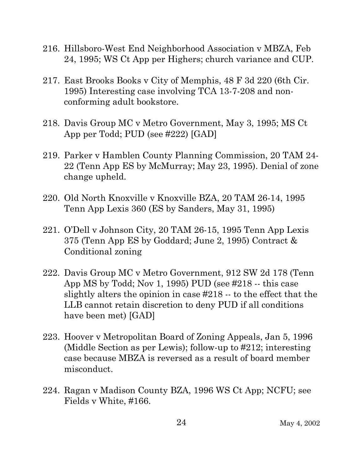- 216. Hillsboro-West End Neighborhood Association v MBZA, Feb 24, 1995; WS Ct App per Highers; church variance and CUP.
- 217. East Brooks Books v City of Memphis, 48 F 3d 220 (6th Cir. 1995) Interesting case involving TCA 13-7-208 and nonconforming adult bookstore.
- 218. Davis Group MC v Metro Government, May 3, 1995; MS Ct App per Todd; PUD (see #222) [GAD]
- 219. Parker v Hamblen County Planning Commission, 20 TAM 24- 22 (Tenn App ES by McMurray; May 23, 1995). Denial of zone change upheld.
- 220. Old North Knoxville v Knoxville BZA, 20 TAM 26-14, 1995 Tenn App Lexis 360 (ES by Sanders, May 31, 1995)
- 221. O'Dell v Johnson City, 20 TAM 26-15, 1995 Tenn App Lexis 375 (Tenn App ES by Goddard; June 2, 1995) Contract & Conditional zoning
- 222. Davis Group MC v Metro Government, 912 SW 2d 178 (Tenn App MS by Todd; Nov 1, 1995) PUD (see #218 -- this case slightly alters the opinion in case #218 -- to the effect that the LLB cannot retain discretion to deny PUD if all conditions have been met) [GAD]
- 223. Hoover v Metropolitan Board of Zoning Appeals, Jan 5, 1996 (Middle Section as per Lewis); follow-up to #212; interesting case because MBZA is reversed as a result of board member misconduct.
- 224. Ragan v Madison County BZA, 1996 WS Ct App; NCFU; see Fields v White, #166.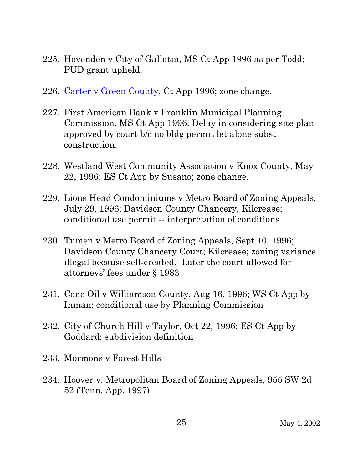- 225. Hovenden v City of Gallatin, MS Ct App 1996 as per Todd; PUD grant upheld.
- 226. Carter v Green County, Ct App 1996; zone change.
- 227. First American Bank v Franklin Municipal Planning Commission, MS Ct App 1996. Delay in considering site plan approved by court b/c no bldg permit let alone subst construction.
- 228. Westland West Community Association v Knox County, May 22, 1996; ES Ct App by Susano; zone change.
- 229. Lions Head Condominiums v Metro Board of Zoning Appeals, July 29, 1996; Davidson County Chancery, Kilcrease; conditional use permit -- interpretation of conditions
- 230. Tumen v Metro Board of Zoning Appeals, Sept 10, 1996; Davidson County Chancery Court; Kilcrease; zoning variance illegal because self-created. Later the court allowed for attorneys' fees under § 1983
- 231. Cone Oil v Williamson County, Aug 16, 1996; WS Ct App by Inman; conditional use by Planning Commission
- 232. City of Church Hill v Taylor, Oct 22, 1996; ES Ct App by Goddard; subdivision definition
- 233. Mormons v Forest Hills
- 234. Hoover v. Metropolitan Board of Zoning Appeals, 955 SW 2d 52 (Tenn. App. 1997)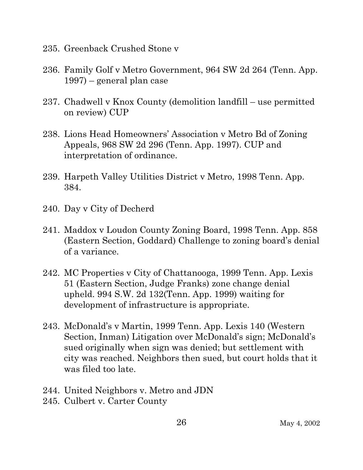- 235. Greenback Crushed Stone v
- 236. Family Golf v Metro Government, 964 SW 2d 264 (Tenn. App. 1997) – general plan case
- 237. Chadwell v Knox County (demolition landfill use permitted on review) CUP
- 238. Lions Head Homeowners' Association v Metro Bd of Zoning Appeals, 968 SW 2d 296 (Tenn. App. 1997). CUP and interpretation of ordinance.
- 239. Harpeth Valley Utilities District v Metro, 1998 Tenn. App. 384.
- 240. Day v City of Decherd
- 241. Maddox v Loudon County Zoning Board, 1998 Tenn. App. 858 (Eastern Section, Goddard) Challenge to zoning board's denial of a variance.
- 242. MC Properties v City of Chattanooga, 1999 Tenn. App. Lexis 51 (Eastern Section, Judge Franks) zone change denial upheld. 994 S.W. 2d 132(Tenn. App. 1999) waiting for development of infrastructure is appropriate.
- 243. McDonald's v Martin, 1999 Tenn. App. Lexis 140 (Western Section, Inman) Litigation over McDonald's sign; McDonald's sued originally when sign was denied; but settlement with city was reached. Neighbors then sued, but court holds that it was filed too late.
- 244. United Neighbors v. Metro and JDN
- 245. Culbert v. Carter County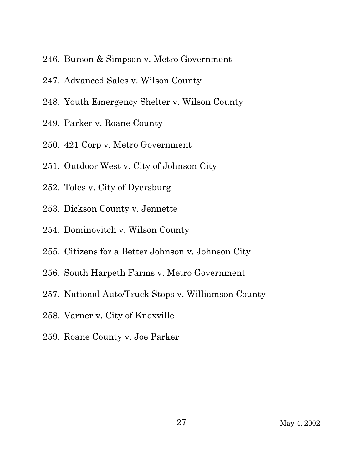- 246. Burson & Simpson v. Metro Government
- 247. Advanced Sales v. Wilson County
- 248. Youth Emergency Shelter v. Wilson County
- 249. Parker v. Roane County
- 250. 421 Corp v. Metro Government
- 251. Outdoor West v. City of Johnson City
- 252. Toles v. City of Dyersburg
- 253. Dickson County v. Jennette
- 254. Dominovitch v. Wilson County
- 255. Citizens for a Better Johnson v. Johnson City
- 256. South Harpeth Farms v. Metro Government
- 257. National Auto/Truck Stops v. Williamson County
- 258. Varner v. City of Knoxville
- 259. Roane County v. Joe Parker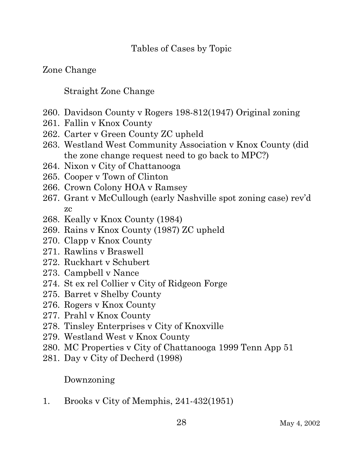#### Tables of Cases by Topic

## Zone Change

## Straight Zone Change

- 260. Davidson County v Rogers 198-812(1947) Original zoning
- 261. Fallin v Knox County
- 262. Carter v Green County ZC upheld
- 263. Westland West Community Association v Knox County (did the zone change request need to go back to MPC?)
- 264. Nixon v City of Chattanooga
- 265. Cooper v Town of Clinton
- 266. Crown Colony HOA v Ramsey
- 267. Grant v McCullough (early Nashville spot zoning case) rev'd zc
- 268. Keally v Knox County (1984)
- 269. Rains v Knox County (1987) ZC upheld
- 270. Clapp v Knox County
- 271. Rawlins v Braswell
- 272. Ruckhart v Schubert
- 273. Campbell v Nance
- 274. St ex rel Collier v City of Ridgeon Forge
- 275. Barret v Shelby County
- 276. Rogers v Knox County
- 277. Prahl v Knox County
- 278. Tinsley Enterprises v City of Knoxville
- 279. Westland West v Knox County
- 280. MC Properties v City of Chattanooga 1999 Tenn App 51
- 281. Day v City of Decherd (1998)

## Downzoning

1. Brooks v City of Memphis, 241-432(1951)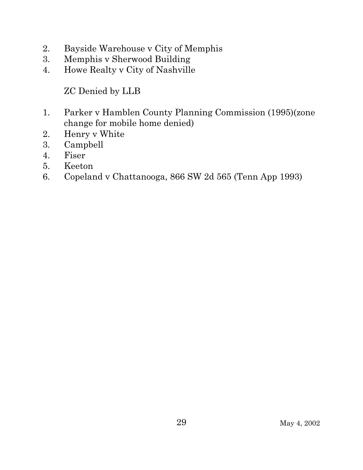- 2. Bayside Warehouse v City of Memphis
- 3. Memphis v Sherwood Building
- 4. Howe Realty v City of Nashville

ZC Denied by LLB

- 1. Parker v Hamblen County Planning Commission (1995)(zone change for mobile home denied)
- 2. Henry v White
- 3. Campbell
- 4. Fiser
- 5. Keeton
- 6. Copeland v Chattanooga, 866 SW 2d 565 (Tenn App 1993)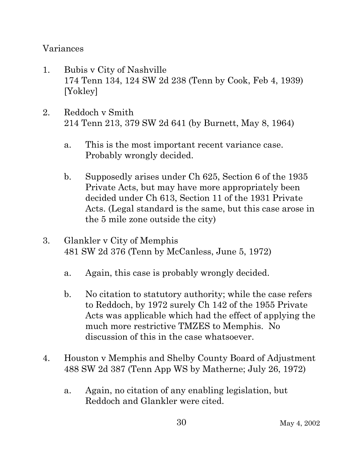#### Variances

- 1. Bubis v City of Nashville 174 Tenn 134, 124 SW 2d 238 (Tenn by Cook, Feb 4, 1939) [Yokley]
- 2. Reddoch v Smith 214 Tenn 213, 379 SW 2d 641 (by Burnett, May 8, 1964)
	- a. This is the most important recent variance case. Probably wrongly decided.
	- b. Supposedly arises under Ch 625, Section 6 of the 1935 Private Acts, but may have more appropriately been decided under Ch 613, Section 11 of the 1931 Private Acts. (Legal standard is the same, but this case arose in the 5 mile zone outside the city)
- 3. Glankler v City of Memphis 481 SW 2d 376 (Tenn by McCanless, June 5, 1972)
	- a. Again, this case is probably wrongly decided.
	- b. No citation to statutory authority; while the case refers to Reddoch, by 1972 surely Ch 142 of the 1955 Private Acts was applicable which had the effect of applying the much more restrictive TMZES to Memphis. No discussion of this in the case whatsoever.
- 4. Houston v Memphis and Shelby County Board of Adjustment 488 SW 2d 387 (Tenn App WS by Matherne; July 26, 1972)
	- a. Again, no citation of any enabling legislation, but Reddoch and Glankler were cited.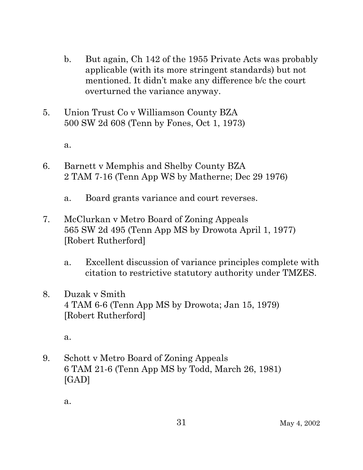- b. But again, Ch 142 of the 1955 Private Acts was probably applicable (with its more stringent standards) but not mentioned. It didn't make any difference b/c the court overturned the variance anyway.
- 5. Union Trust Co v Williamson County BZA 500 SW 2d 608 (Tenn by Fones, Oct 1, 1973)

a.

- 6. Barnett v Memphis and Shelby County BZA 2 TAM 7-16 (Tenn App WS by Matherne; Dec 29 1976)
	- a. Board grants variance and court reverses.
- 7. McClurkan v Metro Board of Zoning Appeals 565 SW 2d 495 (Tenn App MS by Drowota April 1, 1977) [Robert Rutherford]
	- a. Excellent discussion of variance principles complete with citation to restrictive statutory authority under TMZES.
- 8. Duzak v Smith 4 TAM 6-6 (Tenn App MS by Drowota; Jan 15, 1979) [Robert Rutherford]

a.

9. Schott v Metro Board of Zoning Appeals 6 TAM 21-6 (Tenn App MS by Todd, March 26, 1981) [GAD]

a.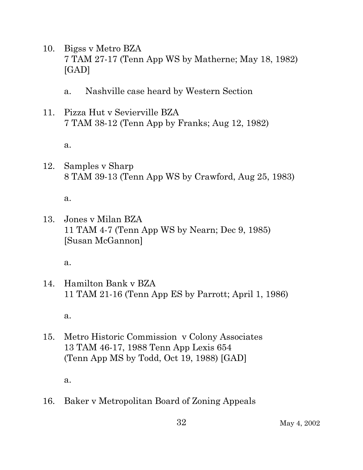- 10. Bigss v Metro BZA 7 TAM 27-17 (Tenn App WS by Matherne; May 18, 1982) [GAD]
	- a. Nashville case heard by Western Section
- 11. Pizza Hut v Sevierville BZA 7 TAM 38-12 (Tenn App by Franks; Aug 12, 1982)

a.

12. Samples v Sharp 8 TAM 39-13 (Tenn App WS by Crawford, Aug 25, 1983)

a.

13. Jones v Milan BZA 11 TAM 4-7 (Tenn App WS by Nearn; Dec 9, 1985) [Susan McGannon]

a.

14. Hamilton Bank v BZA 11 TAM 21-16 (Tenn App ES by Parrott; April 1, 1986)

a.

15. Metro Historic Commission v Colony Associates 13 TAM 46-17, 1988 Tenn App Lexis 654 (Tenn App MS by Todd, Oct 19, 1988) [GAD]

a.

16. Baker v Metropolitan Board of Zoning Appeals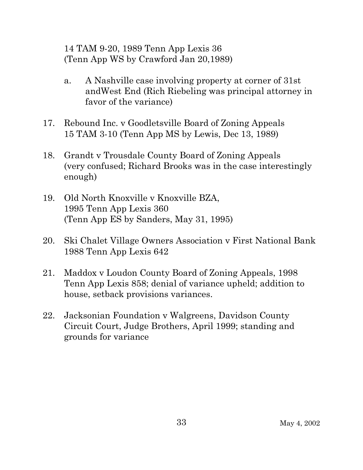14 TAM 9-20, 1989 Tenn App Lexis 36 (Tenn App WS by Crawford Jan 20,1989)

- a. A Nashville case involving property at corner of 31st andWest End (Rich Riebeling was principal attorney in favor of the variance)
- 17. Rebound Inc. v Goodletsville Board of Zoning Appeals 15 TAM 3-10 (Tenn App MS by Lewis, Dec 13, 1989)
- 18. Grandt v Trousdale County Board of Zoning Appeals (very confused; Richard Brooks was in the case interestingly enough)
- 19. Old North Knoxville v Knoxville BZA, 1995 Tenn App Lexis 360 (Tenn App ES by Sanders, May 31, 1995)
- 20. Ski Chalet Village Owners Association v First National Bank 1988 Tenn App Lexis 642
- 21. Maddox v Loudon County Board of Zoning Appeals, 1998 Tenn App Lexis 858; denial of variance upheld; addition to house, setback provisions variances.
- 22. Jacksonian Foundation v Walgreens, Davidson County Circuit Court, Judge Brothers, April 1999; standing and grounds for variance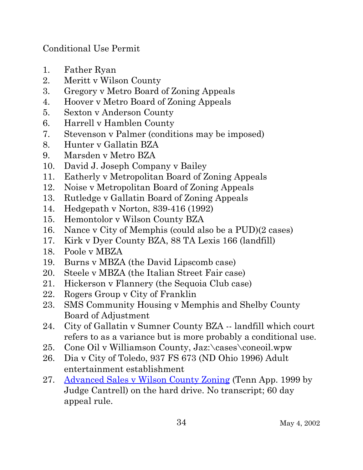Conditional Use Permit

- 1. Father Ryan
- 2. Meritt v Wilson County
- 3. Gregory v Metro Board of Zoning Appeals
- 4. Hoover v Metro Board of Zoning Appeals
- 5. Sexton v Anderson County
- 6. Harrell v Hamblen County
- 7. Stevenson v Palmer (conditions may be imposed)
- 8. Hunter v Gallatin BZA
- 9. Marsden v Metro BZA
- 10. David J. Joseph Company v Bailey
- 11. Eatherly v Metropolitan Board of Zoning Appeals
- 12. Noise v Metropolitan Board of Zoning Appeals
- 13. Rutledge v Gallatin Board of Zoning Appeals
- 14. Hedgepath v Norton, 839-416 (1992)
- 15. Hemontolor v Wilson County BZA
- 16. Nance v City of Memphis (could also be a PUD)(2 cases)
- 17. Kirk v Dyer County BZA, 88 TA Lexis 166 (landfill)
- 18. Poole v MBZA
- 19. Burns v MBZA (the David Lipscomb case)
- 20. Steele v MBZA (the Italian Street Fair case)
- 21. Hickerson v Flannery (the Sequoia Club case)
- 22. Rogers Group v City of Franklin
- 23. SMS Community Housing v Memphis and Shelby County Board of Adjustment
- 24. City of Gallatin v Sumner County BZA -- landfill which court refers to as a variance but is more probably a conditional use.
- 25. Cone Oil v Williamson County, Jaz:\cases\coneoil.wpw
- 26. Dia v City of Toledo, 937 FS 673 (ND Ohio 1996) Adult entertainment establishment
- 27. Advanced Sales v Wilson County Zoning (Tenn App. 1999 by Judge Cantrell) on the hard drive. No transcript; 60 day appeal rule.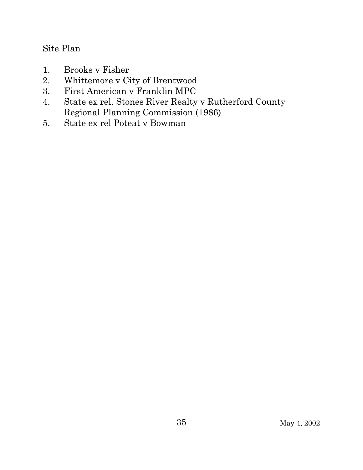#### Site Plan

- 1. Brooks v Fisher
- 2. Whittemore v City of Brentwood
- 3. First American v Franklin MPC
- 4. State ex rel. Stones River Realty v Rutherford County Regional Planning Commission (1986)
- 5. State ex rel Poteat v Bowman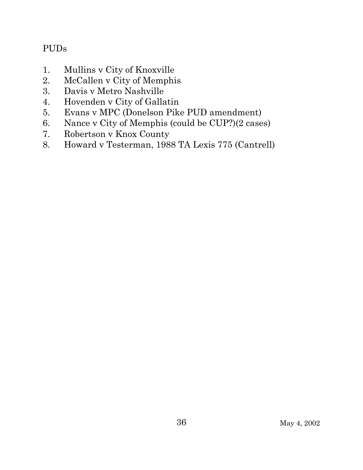## PUDs

- 1. Mullins v City of Knoxville
- 2. McCallen v City of Memphis
- 3. Davis v Metro Nashville
- 4. Hovenden v City of Gallatin
- 5. Evans v MPC (Donelson Pike PUD amendment)
- 6. Nance v City of Memphis (could be CUP?)(2 cases)
- 7. Robertson v Knox County
- 8. Howard v Testerman, 1988 TA Lexis 775 (Cantrell)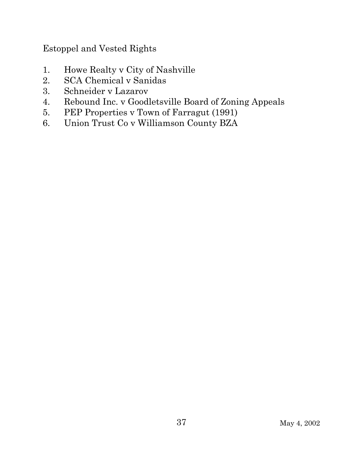Estoppel and Vested Rights

- 1. Howe Realty v City of Nashville
- 2. SCA Chemical v Sanidas
- 3. Schneider v Lazarov
- 4. Rebound Inc. v Goodletsville Board of Zoning Appeals
- 5. PEP Properties v Town of Farragut (1991)
- 6. Union Trust Co v Williamson County BZA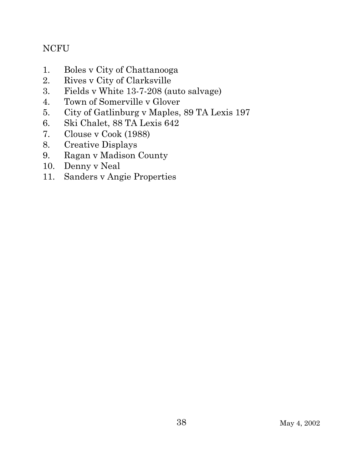### NCFU

- 1. Boles v City of Chattanooga
- 2. Rives v City of Clarksville
- 3. Fields v White 13-7-208 (auto salvage)
- 4. Town of Somerville v Glover
- 5. City of Gatlinburg v Maples, 89 TA Lexis 197
- 6. Ski Chalet, 88 TA Lexis 642
- 7. Clouse v Cook (1988)
- 8. Creative Displays
- 9. Ragan v Madison County
- 10. Denny v Neal
- 11. Sanders v Angie Properties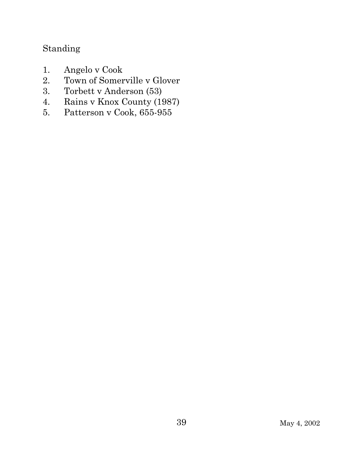# Standing

- 1. Angelo v Cook
- 2. Town of Somerville v Glover
- 3. Torbett v Anderson (53)
- 4. Rains v Knox County (1987)
- 5. Patterson v Cook, 655-955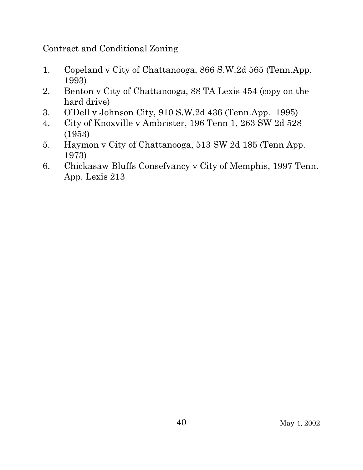Contract and Conditional Zoning

- 1. Copeland v City of Chattanooga, 866 S.W.2d 565 (Tenn.App. 1993)
- 2. Benton v City of Chattanooga, 88 TA Lexis 454 (copy on the hard drive)
- 3. O'Dell v Johnson City, 910 S.W.2d 436 (Tenn.App. 1995)
- 4. City of Knoxville v Ambrister, 196 Tenn 1, 263 SW 2d 528 (1953)
- 5. Haymon v City of Chattanooga, 513 SW 2d 185 (Tenn App. 1973)
- 6. Chickasaw Bluffs Consefvancy v City of Memphis, 1997 Tenn. App. Lexis 213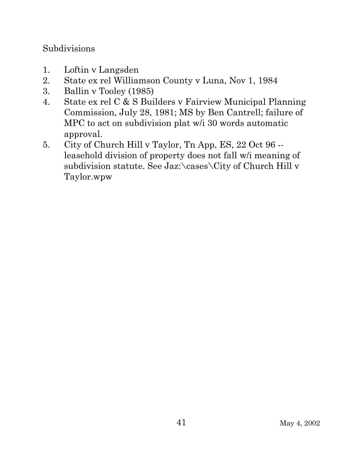#### Subdivisions

- 1. Loftin v Langsden
- 2. State ex rel Williamson County v Luna, Nov 1, 1984
- 3. Ballin v Tooley (1985)
- 4. State ex rel C & S Builders v Fairview Municipal Planning Commission, July 28, 1981; MS by Ben Cantrell; failure of MPC to act on subdivision plat w/i 30 words automatic approval.
- 5. City of Church Hill v Taylor, Tn App, ES, 22 Oct 96 leasehold division of property does not fall w/i meaning of subdivision statute. See Jaz:\cases\City of Church Hill v Taylor.wpw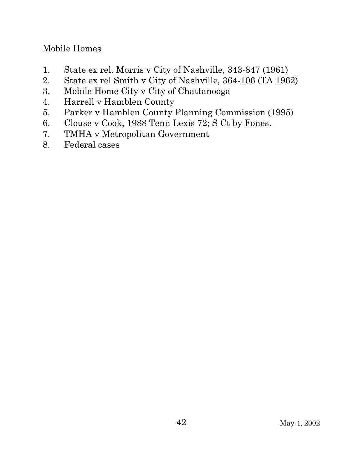## Mobile Homes

- 1. State ex rel. Morris v City of Nashville, 343-847 (1961)
- 2. State ex rel Smith v City of Nashville, 364-106 (TA 1962)
- 3. Mobile Home City v City of Chattanooga
- 4. Harrell v Hamblen County
- 5. Parker v Hamblen County Planning Commission (1995)
- 6. Clouse v Cook, 1988 Tenn Lexis 72; S Ct by Fones.
- 7. TMHA v Metropolitan Government
- 8. Federal cases